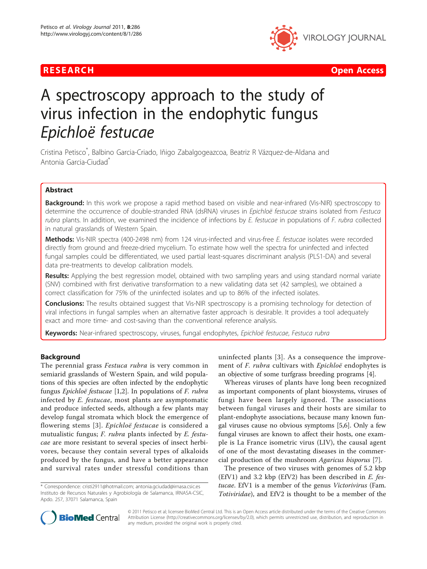



# A spectroscopy approach to the study of virus infection in the endophytic fungus

Epichloë festucae Cristina Petisco\* , Balbino Garcia-Criado, Iñigo Zabalgogeazcoa, Beatriz R Vázquez-de-Aldana and Antonia Garcia-Ciudad\*

# Abstract

**Background:** In this work we propose a rapid method based on visible and near-infrared (Vis-NIR) spectroscopy to determine the occurrence of double-stranded RNA (dsRNA) viruses in Epichloë festucae strains isolated from Festuca rubra plants. In addition, we examined the incidence of infections by E. festucae in populations of F. rubra collected in natural grasslands of Western Spain.

Methods: Vis-NIR spectra (400-2498 nm) from 124 virus-infected and virus-free E. festucae isolates were recorded directly from ground and freeze-dried mycelium. To estimate how well the spectra for uninfected and infected fungal samples could be differentiated, we used partial least-squares discriminant analysis (PLS1-DA) and several data pre-treatments to develop calibration models.

Results: Applying the best regression model, obtained with two sampling years and using standard normal variate (SNV) combined with first derivative transformation to a new validating data set (42 samples), we obtained a correct classification for 75% of the uninfected isolates and up to 86% of the infected isolates.

**Conclusions:** The results obtained suggest that Vis-NIR spectroscopy is a promising technology for detection of viral infections in fungal samples when an alternative faster approach is desirable. It provides a tool adequately exact and more time- and cost-saving than the conventional reference analysis.

Keywords: Near-infrared spectroscopy, viruses, fungal endophytes, Epichloë festucae, Festuca rubra

# Background

The perennial grass Festuca rubra is very common in semiarid grasslands of Western Spain, and wild populations of this species are often infected by the endophytic fungus Epichloë festucae [[1](#page-7-0),[2\]](#page-7-0). In populations of F. rubra infected by E. festucae, most plants are asymptomatic and produce infected seeds, although a few plants may develop fungal stromata which block the emergence of flowering stems [[3\]](#page-7-0). Epichloë festucae is considered a mutualistic fungus; F. rubra plants infected by E. festucae are more resistant to several species of insect herbivores, because they contain several types of alkaloids produced by the fungus, and have a better appearance and survival rates under stressful conditions than

\* Correspondence: [cristi2911@hotmail.com;](mailto:cristi2911@hotmail.com) [antonia.gciudad@irnasa.csic.es](mailto:antonia.gciudad@irnasa.csic.es) Instituto de Recursos Naturales y Agrobiología de Salamanca, IRNASA-CSIC, Apdo. 257, 37071 Salamanca, Spain

uninfected plants [[3\]](#page-7-0). As a consequence the improvement of F. rubra cultivars with Epichloë endophytes is an objective of some turfgrass breeding programs [[4](#page-7-0)].

Whereas viruses of plants have long been recognized as important components of plant biosystems, viruses of fungi have been largely ignored. The associations between fungal viruses and their hosts are similar to plant-endophyte associations, because many known fungal viruses cause no obvious symptoms [\[5,6\]](#page-7-0). Only a few fungal viruses are known to affect their hosts, one example is La France isometric virus (LIV), the causal agent of one of the most devastating diseases in the commercial production of the mushroom Agaricus bisporus [[7\]](#page-7-0).

The presence of two viruses with genomes of 5.2 kbp  $(EfV1)$  and 3.2 kbp  $(EfV2)$  has been described in E. festucae. EfV1 is a member of the genus Victorivirus (Fam. Totiviridae), and EfV2 is thought to be a member of the



© 2011 Petisco et al; licensee BioMed Central Ltd. This is an Open Access article distributed under the terms of the Creative Commons Attribution License [\(http://creativecommons.org/licenses/by/2.0](http://creativecommons.org/licenses/by/2.0)), which permits unrestricted use, distribution, and reproduction in any medium, provided the original work is properly cited.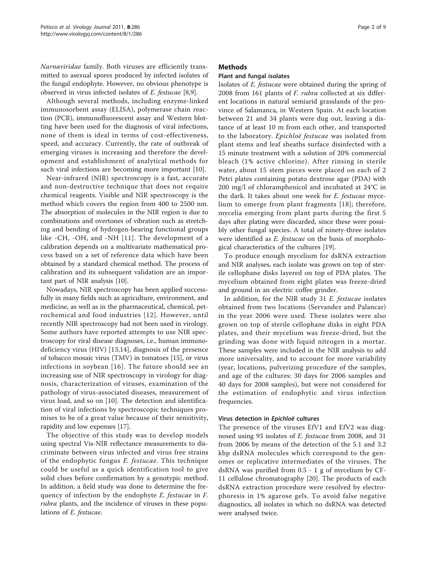Narnaviridae family. Both viruses are efficiently transmitted to asexual spores produced by infected isolates of the fungal endophyte. However, no obvious phenotype is observed in virus infected isolates of E. festucae [[8,9\]](#page-7-0).

Although several methods, including enzyme-linked immunosorbent assay (ELISA), polymerase chain reaction (PCR), immunofluorescent assay and Western blotting have been used for the diagnosis of viral infections, none of them is ideal in terms of cost-effectiveness, speed, and accuracy. Currently, the rate of outbreak of emerging viruses is increasing and therefore the development and establishment of analytical methods for such viral infections are becoming more important [\[10](#page-7-0)].

Near-infrared (NIR) spectroscopy is a fast, accurate and non-destructive technique that does not require chemical reagents. Visible and NIR spectroscopy is the method which covers the region from 400 to 2500 nm. The absorption of molecules in the NIR region is due to combinations and overtones of vibration such as stretching and bending of hydrogen-bearing functional groups like -CH, -OH, and -NH [[11\]](#page-7-0). The development of a calibration depends on a multivariate mathematical process based on a set of reference data which have been obtained by a standard chemical method. The process of calibration and its subsequent validation are an important part of NIR analysis [\[10](#page-7-0)].

Nowadays, NIR spectroscopy has been applied successfully in many fields such as agriculture, environment, and medicine, as well as in the pharmaceutical, chemical, petrochemical and food industries [[12\]](#page-7-0). However, until recently NIR spectroscopy had not been used in virology. Some authors have reported attempts to use NIR spectroscopy for viral disease diagnoses, i.e., human immunodeficiency virus (HIV) [[13,14](#page-7-0)], diagnosis of the presence of tobacco mosaic virus (TMV) in tomatoes [\[15\]](#page-7-0), or virus infections in soybean [[16](#page-7-0)]. The future should see an increasing use of NIR spectroscopy in virology for diagnosis, characterization of viruses, examination of the pathology of virus-associated diseases, measurement of virus load, and so on [\[10](#page-7-0)]. The detection and identification of viral infections by spectroscopic techniques promises to be of a great value because of their sensitivity, rapidity and low expenses [\[17\]](#page-7-0).

The objective of this study was to develop models using spectral Vis-NIR reflectance measurements to discriminate between virus infected and virus free strains of the endophytic fungus E. festucae. This technique could be useful as a quick identification tool to give solid clues before confirmation by a genotypic method. In addition, a field study was done to determine the frequency of infection by the endophyte E. festucae in F. rubra plants, and the incidence of viruses in these populations of E. festucae.

## Methods

# Plant and fungal isolates

Isolates of E. festucae were obtained during the spring of 2008 from 161 plants of F. rubra collected at six different locations in natural semiarid grasslands of the province of Salamanca, in Western Spain. At each location between 21 and 34 plants were dug out, leaving a distance of at least 10 m from each other, and transported to the laboratory. Epichloë festucae was isolated from plant stems and leaf sheaths surface disinfected with a 15 minute treatment with a solution of 20% commercial bleach (1% active chlorine). After rinsing in sterile water, about 15 stem pieces were placed on each of 2 Petri plates containing potato dextrose agar (PDA) with 200 mg/l of chloramphenicol and incubated at 24°C in the dark. It takes about one week for E. festucae mycelium to emerge from plant fragments [[18](#page-7-0)]; therefore, mycelia emerging from plant parts during the first 5 days after plating were discarded, since these were possibly other fungal species. A total of ninety-three isolates were identified as E. festucae on the basis of morphological characteristics of the cultures [[19](#page-7-0)].

To produce enough mycelium for dsRNA extraction and NIR analyses, each isolate was grown on top of sterile cellophane disks layered on top of PDA plates. The mycelium obtained from eight plates was freeze-dried and ground in an electric coffee grinder.

In addition, for the NIR study 31 E. festucae isolates obtained from two locations (Servandez and Palancar) in the year 2006 were used. These isolates were also grown on top of sterile cellophane disks in eight PDA plates, and their mycelium was freeze-dried, but the grinding was done with liquid nitrogen in a mortar. These samples were included in the NIR analysis to add more universality, and to account for more variability (year, locations, pulverizing procedure of the samples, and age of the cultures: 30 days for 2006 samples and 40 days for 2008 samples), but were not considered for the estimation of endophytic and virus infection frequencies.

# Virus detection in Epichloë cultures

The presence of the viruses EfV1 and EfV2 was diagnosed using 93 isolates of E. festucae from 2008, and 31 from 2006 by means of the detection of the 5.1 and 3.2 kbp dsRNA molecules which correspond to the genomes or replicative intermediates of the viruses. The dsRNA was purified from 0.5 - 1 g of mycelium by CF-11 cellulose chromatography [[20\]](#page-7-0). The products of each dsRNA extraction procedure were resolved by electrophoresis in 1% agarose gels. To avoid false negative diagnostics, all isolates in which no dsRNA was detected were analysed twice.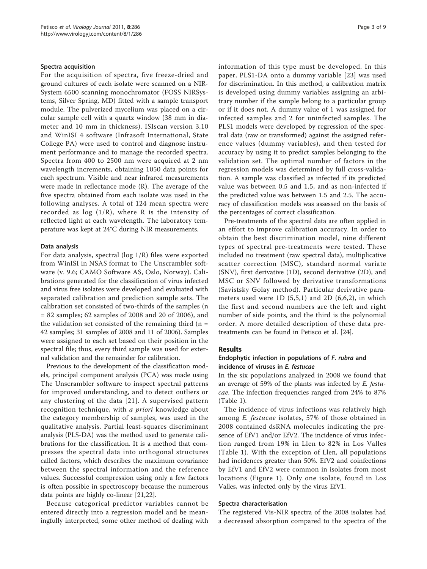#### Spectra acquisition

For the acquisition of spectra, five freeze-dried and ground cultures of each isolate were scanned on a NIR-System 6500 scanning monochromator (FOSS NIRSystems, Silver Spring, MD) fitted with a sample transport module. The pulverized mycelium was placed on a circular sample cell with a quartz window (38 mm in diameter and 10 mm in thickness). ISIscan version 3.10 and WinISI 4 software (Infrasoft International, State College PA) were used to control and diagnose instrument performance and to manage the recorded spectra. Spectra from 400 to 2500 nm were acquired at 2 nm wavelength increments, obtaining 1050 data points for each spectrum. Visible and near infrared measurements were made in reflectance mode (R). The average of the five spectra obtained from each isolate was used in the following analyses. A total of 124 mean spectra were recorded as  $log(1/R)$ , where R is the intensity of reflected light at each wavelength. The laboratory temperature was kept at 24°C during NIR measurements.

#### Data analysis

For data analysis, spectral (log 1/R) files were exported from WinISI in NSAS format to The Unscrambler software (v. 9.6; CAMO Software AS, Oslo, Norway). Calibrations generated for the classification of virus infected and virus free isolates were developed and evaluated with separated calibration and prediction sample sets. The calibration set consisted of two-thirds of the samples (n = 82 samples; 62 samples of 2008 and 20 of 2006), and the validation set consisted of the remaining third  $(n =$ 42 samples; 31 samples of 2008 and 11 of 2006). Samples were assigned to each set based on their position in the spectral file; thus, every third sample was used for external validation and the remainder for calibration.

Previous to the development of the classification models, principal component analysis (PCA) was made using The Unscrambler software to inspect spectral patterns for improved understanding, and to detect outliers or any clustering of the data [[21\]](#page-7-0). A supervised pattern recognition technique, with a priori knowledge about the category membership of samples, was used in the qualitative analysis. Partial least-squares discriminant analysis (PLS-DA) was the method used to generate calibrations for the classification. It is a method that compresses the spectral data into orthogonal structures called factors, which describes the maximum covariance between the spectral information and the reference values. Successful compression using only a few factors is often possible in spectroscopy because the numerous data points are highly co-linear [\[21,22\]](#page-7-0).

Because categorical predictor variables cannot be entered directly into a regression model and be meaningfully interpreted, some other method of dealing with information of this type must be developed. In this paper, PLS1-DA onto a dummy variable [[23\]](#page-7-0) was used for discrimination. In this method, a calibration matrix is developed using dummy variables assigning an arbitrary number if the sample belong to a particular group or if it does not. A dummy value of 1 was assigned for infected samples and 2 for uninfected samples. The PLS1 models were developed by regression of the spectral data (raw or transformed) against the assigned reference values (dummy variables), and then tested for accuracy by using it to predict samples belonging to the validation set. The optimal number of factors in the regression models was determined by full cross-validation. A sample was classified as infected if its predicted value was between 0.5 and 1.5, and as non-infected if the predicted value was between 1.5 and 2.5. The accuracy of classification models was assessed on the basis of the percentages of correct classification.

Pre-treatments of the spectral data are often applied in an effort to improve calibration accuracy. In order to obtain the best discrimination model, nine different types of spectral pre-treatments were tested. These included no treatment (raw spectral data), multiplicative scatter correction (MSC), standard normal variate (SNV), first derivative (1D), second derivative (2D), and MSC or SNV followed by derivative transformations (Savistsky Golay method). Particular derivative parameters used were 1D (5,5,1) and 2D (6,6,2), in which the first and second numbers are the left and right number of side points, and the third is the polynomial order. A more detailed description of these data pretreatments can be found in Petisco et al. [\[24\]](#page-7-0).

## Results

## Endophytic infection in populations of F. rubra and incidence of viruses in E. festucae

In the six populations analyzed in 2008 we found that an average of 59% of the plants was infected by E. festucae. The infection frequencies ranged from 24% to 87% (Table [1\)](#page-3-0).

The incidence of virus infections was relatively high among E. festucae isolates, 57% of those obtained in 2008 contained dsRNA molecules indicating the presence of EfV1 and/or EfV2. The incidence of virus infection ranged from 19% in Llen to 82% in Los Valles (Table [1\)](#page-3-0). With the exception of Llen, all populations had incidences greater than 50%. EfV2 and coinfections by EfV1 and EfV2 were common in isolates from most locations (Figure [1](#page-3-0)). Only one isolate, found in Los Valles, was infected only by the virus EfV1.

#### Spectra characterisation

The registered Vis-NIR spectra of the 2008 isolates had a decreased absorption compared to the spectra of the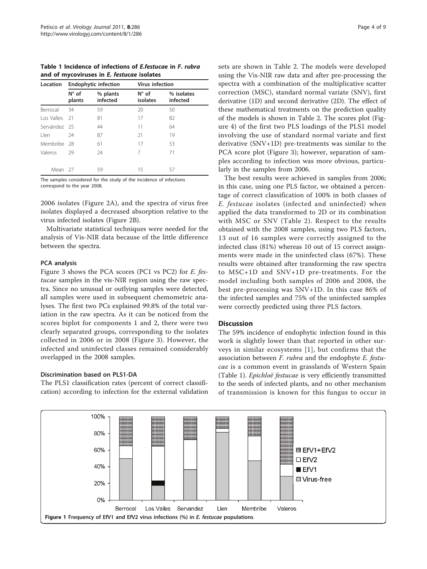<span id="page-3-0"></span>Table 1 Incidence of infections of E.festucae in F. rubra and of mycoviruses in E. festucae isolates

| Location     |                          | <b>Endophytic infection</b> | <b>Virus infection</b>     |                        |  |  |
|--------------|--------------------------|-----------------------------|----------------------------|------------------------|--|--|
|              | $N^{\circ}$ of<br>plants | % plants<br>infected        | $N^{\circ}$ of<br>isolates | % isolates<br>infected |  |  |
| Berrocal     | 34                       | 59                          | 20                         | 50                     |  |  |
| Los Valles   | 21                       | 81                          | 17                         | 82                     |  |  |
| Servández 25 |                          | 44                          | 11                         | 64                     |  |  |
| l len        | 24                       | 87                          | 21                         | 19                     |  |  |
| Membribe 28  |                          | 61                          | 17                         | 53                     |  |  |
| Valeros      | 29                       | 24                          | 7                          | 71                     |  |  |
| Mean 27      |                          | 59                          | 15                         | 57                     |  |  |

The samples considered for the study of the incidence of infections correspond to the year 2008.

2006 isolates (Figure [2A](#page-4-0)), and the spectra of virus free isolates displayed a decreased absorption relative to the virus infected isolates (Figure [2B\)](#page-4-0).

Multivariate statistical techniques were needed for the analysis of Vis-NIR data because of the little difference between the spectra.

## PCA analysis

Figure [3](#page-5-0) shows the PCA scores (PC1 vs PC2) for E. festucae samples in the vis-NIR region using the raw spectra. Since no unusual or outlying samples were detected, all samples were used in subsequent chemometric analyses. The first two PCs explained 99.8% of the total variation in the raw spectra. As it can be noticed from the scores biplot for components 1 and 2, there were two clearly separated groups, corresponding to the isolates collected in 2006 or in 2008 (Figure [3\)](#page-5-0). However, the infected and uninfected classes remained considerably overlapped in the 2008 samples.

# Discrimination based on PLS1-DA

The PLS1 classification rates (percent of correct classification) according to infection for the external validation sets are shown in Table [2](#page-5-0). The models were developed using the Vis-NIR raw data and after pre-processing the spectra with a combination of the multiplicative scatter correction (MSC), standard normal variate (SNV), first derivative (1D) and second derivative (2D). The effect of these mathematical treatments on the prediction quality of the models is shown in Table [2.](#page-5-0) The scores plot (Figure [4\)](#page-6-0) of the first two PLS loadings of the PLS1 model involving the use of standard normal variate and first derivative (SNV+1D) pre-treatments was similar to the PCA score plot (Figure [3\)](#page-5-0); however, separation of samples according to infection was more obvious, particularly in the samples from 2006.

The best results were achieved in samples from 2006; in this case, using one PLS factor, we obtained a percentage of correct classification of 100% in both classes of E. festucae isolates (infected and uninfected) when applied the data transformed to 2D or its combination with MSC or SNV (Table [2\)](#page-5-0). Respect to the results obtained with the 2008 samples, using two PLS factors, 13 out of 16 samples were correctly assigned to the infected class (81%) whereas 10 out of 15 correct assignments were made in the uninfected class (67%). These results were obtained after transforming the raw spectra to MSC+1D and SNV+1D pre-treatments. For the model including both samples of 2006 and 2008, the best pre-processing was SNV+1D. In this case 86% of the infected samples and 75% of the uninfected samples were correctly predicted using three PLS factors.

## **Discussion**

The 59% incidence of endophytic infection found in this work is slightly lower than that reported in other surveys in similar ecosystems [[1\]](#page-7-0), but confirms that the association between F. rubra and the endophyte E. festucae is a common event in grasslands of Western Spain (Table 1). Epichloë festucae is very efficiently transmitted to the seeds of infected plants, and no other mechanism of transmission is known for this fungus to occur in

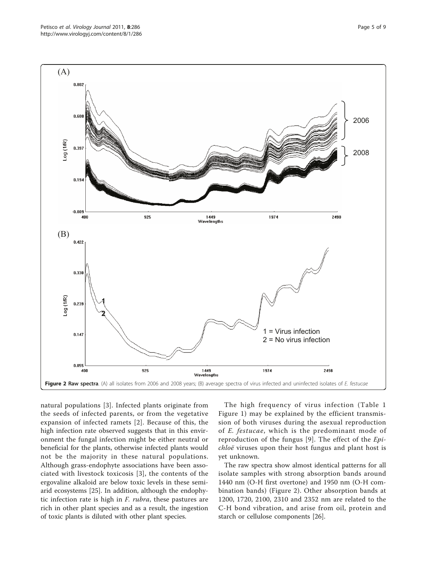<span id="page-4-0"></span>

natural populations [\[3](#page-7-0)]. Infected plants originate from the seeds of infected parents, or from the vegetative expansion of infected ramets [\[2\]](#page-7-0). Because of this, the high infection rate observed suggests that in this environment the fungal infection might be either neutral or beneficial for the plants, otherwise infected plants would not be the majority in these natural populations. Although grass-endophyte associations have been associated with livestock toxicosis [\[3\]](#page-7-0), the contents of the ergovaline alkaloid are below toxic levels in these semiarid ecosystems [[25](#page-8-0)]. In addition, although the endophytic infection rate is high in F. rubra, these pastures are rich in other plant species and as a result, the ingestion of toxic plants is diluted with other plant species.

The high frequency of virus infection (Table [1](#page-3-0) Figure [1\)](#page-3-0) may be explained by the efficient transmission of both viruses during the asexual reproduction of E. festucae, which is the predominant mode of reproduction of the fungus [[9\]](#page-7-0). The effect of the Epichloë viruses upon their host fungus and plant host is yet unknown.

The raw spectra show almost identical patterns for all isolate samples with strong absorption bands around 1440 nm (O-H first overtone) and 1950 nm (O-H combination bands) (Figure 2). Other absorption bands at 1200, 1720, 2100, 2310 and 2352 nm are related to the C-H bond vibration, and arise from oil, protein and starch or cellulose components [\[26\]](#page-8-0).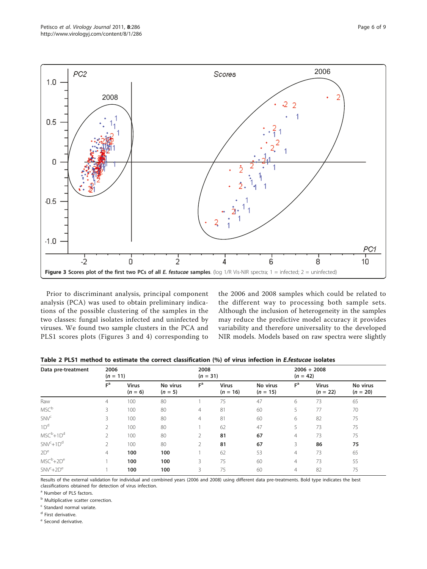<span id="page-5-0"></span>

Prior to discriminant analysis, principal component analysis (PCA) was used to obtain preliminary indications of the possible clustering of the samples in the two classes: fungal isolates infected and uninfected by viruses. We found two sample clusters in the PCA and PLS1 scores plots (Figures 3 and [4](#page-6-0)) corresponding to the 2006 and 2008 samples which could be related to the different way to processing both sample sets. Although the inclusion of heterogeneity in the samples may reduce the predictive model accuracy it provides variability and therefore universality to the developed NIR models. Models based on raw spectra were slightly

| Table 2 PLS1 method to estimate the correct classification (%) of virus infection in <i>E.festucae</i> isolates |  |  |
|-----------------------------------------------------------------------------------------------------------------|--|--|
|-----------------------------------------------------------------------------------------------------------------|--|--|

| Data pre-treatment     | 2006<br>$(n = 11)$ |                           |                       | 2008<br>$(n = 31)$ |                            |                        |                | $2006 + 2008$<br>$(n = 42)$ |                        |  |
|------------------------|--------------------|---------------------------|-----------------------|--------------------|----------------------------|------------------------|----------------|-----------------------------|------------------------|--|
|                        | F <sup>a</sup>     | <b>Virus</b><br>$(n = 6)$ | No virus<br>$(n = 5)$ | $F^a$              | <b>Virus</b><br>$(n = 16)$ | No virus<br>$(n = 15)$ | F <sup>a</sup> | <b>Virus</b><br>$(n = 22)$  | No virus<br>$(n = 20)$ |  |
| Raw                    | $\overline{4}$     | 100                       | 80                    |                    | 75                         | 47                     | 6              | 73                          | 65                     |  |
| <b>MSC</b> b           | 3                  | 100                       | 80                    | $\overline{4}$     | 81                         | 60                     | 5              | 77                          | 70                     |  |
| <b>SNV<sup>c</sup></b> | 3                  | 100                       | 80                    | $\overline{4}$     | 81                         | 60                     | 6              | 82                          | 75                     |  |
| 1D <sup>d</sup>        | 2                  | 100                       | 80                    |                    | 62                         | 47                     | 5              | 73                          | 75                     |  |
| $MSC^b + 1D^d$         | 2                  | 100                       | 80                    | 2                  | 81                         | 67                     | $\overline{4}$ | 73                          | 75                     |  |
| $SNV^c + 1D^d$         | $\overline{2}$     | 100                       | 80                    | 2                  | 81                         | 67                     | 3              | 86                          | 75                     |  |
| 2D <sup>e</sup>        | $\overline{4}$     | 100                       | 100                   |                    | 62                         | 53                     | 4              | 73                          | 65                     |  |
| $MSC^b + 2D^e$         |                    | 100                       | 100                   | 3                  | 75                         | 60                     | $\overline{4}$ | 73                          | 55                     |  |
| $SNV^c + 2D^e$         |                    | 100                       | 100                   | 3                  | 75                         | 60                     | $\overline{4}$ | 82                          | 75                     |  |

Results of the external validation for individual and combined years (2006 and 2008) using different data pre-treatments. Bold type indicates the best classifications obtained for detection of virus infection.

<sup>a</sup> Number of PLS factors.

**b** Multiplicative scatter correction.

<sup>c</sup> Standard normal variate.

<sup>d</sup> First derivative.

<sup>e</sup> Second derivative.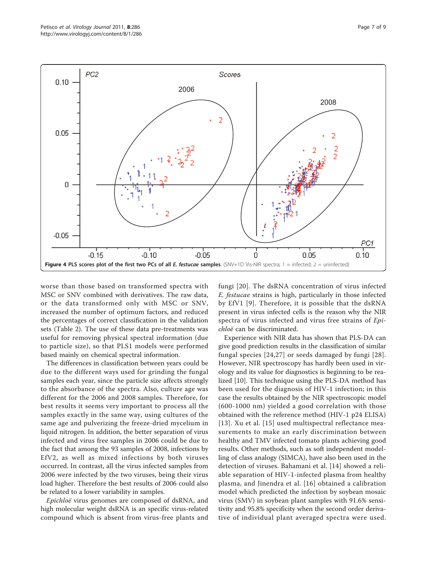<span id="page-6-0"></span>

worse than those based on transformed spectra with MSC or SNV combined with derivatives. The raw data, or the data transformed only with MSC or SNV, increased the number of optimum factors, and reduced the percentages of correct classification in the validation sets (Table [2\)](#page-5-0). The use of these data pre-treatments was useful for removing physical spectral information (due to particle size), so that PLS1 models were performed based mainly on chemical spectral information.

The differences in classification between years could be due to the different ways used for grinding the fungal samples each year, since the particle size affects strongly to the absorbance of the spectra. Also, culture age was different for the 2006 and 2008 samples. Therefore, for best results it seems very important to process all the samples exactly in the same way, using cultures of the same age and pulverizing the freeze-dried mycelium in liquid nitrogen. In addition, the better separation of virus infected and virus free samples in 2006 could be due to the fact that among the 93 samples of 2008, infections by EfV2, as well as mixed infections by both viruses occurred. In contrast, all the virus infected samples from 2006 were infected by the two viruses, being their virus load higher. Therefore the best results of 2006 could also be related to a lower variability in samples.

Epichloë virus genomes are composed of dsRNA, and high molecular weight dsRNA is an specific virus-related compound which is absent from virus-free plants and fungi [\[20](#page-7-0)]. The dsRNA concentration of virus infected E. festucae strains is high, particularly in those infected by EfV1 [[9\]](#page-7-0). Therefore, it is possible that the dsRNA present in virus infected cells is the reason why the NIR spectra of virus infected and virus free strains of Epichloë can be discriminated.

Experience with NIR data has shown that PLS-DA can give good prediction results in the classification of similar fungal species [[24,](#page-7-0)[27\]](#page-8-0) or seeds damaged by fungi [[28\]](#page-8-0). However, NIR spectroscopy has hardly been used in virology and its value for diagnostics is beginning to be realized [[10\]](#page-7-0). This technique using the PLS-DA method has been used for the diagnosis of HIV-1 infection; in this case the results obtained by the NIR spectroscopic model (600-1000 nm) yielded a good correlation with those obtained with the reference method (HIV-1 p24 ELISA) [[13](#page-7-0)]. Xu et al. [[15\]](#page-7-0) used multispectral reflectance measurements to make an early discrimination between healthy and TMV infected tomato plants achieving good results. Other methods, such as soft independent modelling of class analogy (SIMCA), have also been used in the detection of viruses. Bahamani et al. [[14](#page-7-0)] showed a reliable separation of HIV-1-infected plasma from healthy plasma, and Jinendra et al. [[16](#page-7-0)] obtained a calibration model which predicted the infection by soybean mosaic virus (SMV) in soybean plant samples with 91.6% sensitivity and 95.8% specificity when the second order derivative of individual plant averaged spectra were used.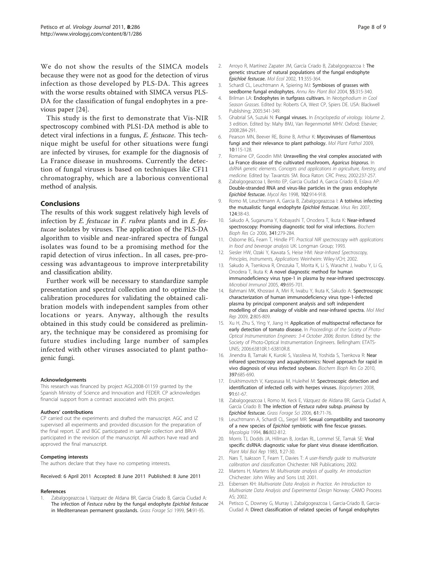<span id="page-7-0"></span>We do not show the results of the SIMCA models because they were not as good for the detection of virus infection as those developed by PLS-DA. This agrees with the worse results obtained with SIMCA versus PLS-DA for the classification of fungal endophytes in a previous paper [24].

This study is the first to demonstrate that Vis-NIR spectroscopy combined with PLS1-DA method is able to detect viral infections in a fungus, E. festucae. This technique might be useful for other situations were fungi are infected by viruses, for example for the diagnosis of La France disease in mushrooms. Currently the detection of fungal viruses is based on techniques like CF11 chromatography, which are a laborious conventional method of analysis.

## Conclusions

The results of this work suggest relatively high levels of infection by E. festucae in F. rubra plants and in E. festucae isolates by viruses. The application of the PLS-DA algorithm to visible and near-infrared spectra of fungal isolates was found to be a promising method for the rapid detection of virus infection.. In all cases, pre-processing was advantageous to improve interpretability and classification ability.

Further work will be necessary to standardize sample presentation and spectral collection and to optimize the calibration procedures for validating the obtained calibration models with independent samples from other locations or years. Anyway, although the results obtained in this study could be considered as preliminary, the technique may be considered as promising for future studies including large number of samples infected with other viruses associated to plant pathogenic fungi.

#### Acknowledgements

This research was financed by project AGL2008-01159 granted by the Spanish Ministry of Science and Innovation and FEDER. CP acknowledges financial support from a contract associated with this project.

#### Authors' contributions

CP carried out the experiments and drafted the manuscript. AGC and IZ supervised all experiments and provided discussion for the preparation of the final report. IZ and BGC participated in sample collection and BRVA participated in the revision of the manuscript. All authors have read and approved the final manuscript.

#### Competing interests

The authors declare that they have no competing interests.

Received: 6 April 2011 Accepted: 8 June 2011 Published: 8 June 2011

#### References

Zabalgogeazcoa I, Vazquez de Aldana BR, Garcia Criado B, Garcia Ciudad A: The infection of Festuca rubra by the fungal endophyte Epichloë festucae in Mediterranean permanent grasslands. Grass Forage Sci 1999, 54:91-95.

- 2. Arroyo R, Martínez Zapater JM, García Criado B, Zabalgogeazcoa I: [The](http://www.ncbi.nlm.nih.gov/pubmed/11918775?dopt=Abstract) [genetic structure of natural populations of the fungal endophyte](http://www.ncbi.nlm.nih.gov/pubmed/11918775?dopt=Abstract)
- [Epichloë festucae](http://www.ncbi.nlm.nih.gov/pubmed/11918775?dopt=Abstract). Mol Ecol 2002, 11:355-364.<br>3. Schardl CL, Leuchtmann A, Spiering MJ: [Symbioses of grasses with](http://www.ncbi.nlm.nih.gov/pubmed/15377223?dopt=Abstract) [seedborne fungal endophytes.](http://www.ncbi.nlm.nih.gov/pubmed/15377223?dopt=Abstract) Annu Rev Plant Biol 2004, 55:315-340.
- Brilman LA: Endophytes in turfgrass cultivars. In Neotyphodium in Cool Season Grasses. Edited by: Roberts CA, West CP, Spiers DE. USA: Blackwell Publishing; 2005:341-349.
- 5. Ghabrial SA, Suzuki N: Fungal viruses. In Encyclopedia of virology. Volume 2.. 3 edition. Edited by: Mahy BMJ, Van Regenmortel MHV. Oxford: Elsevier; 2008:284-291.
- 6. Pearson MN, Beever RE, Boine B, Arthur K: [Mycoviruses of filamentous](http://www.ncbi.nlm.nih.gov/pubmed/19161358?dopt=Abstract) [fungi and their relevance to plant pathology.](http://www.ncbi.nlm.nih.gov/pubmed/19161358?dopt=Abstract) Mol Plant Pathol 2009, 10:115-128.
- 7. Romaine CP, Goodin MM: Unravelling the viral complex associated with La France disease of the cultivated mushroom, Agaricus bisporus. In dsRNA genetic elements. Concepts and applications in agriculture, forestry, and medicine. Edited by: Tavantzis SM. Boca Raton: CRC Press; 2002:237-257.
- 8. Zabalgogeazcoa I, Benito EP, Garcia Ciudad A, Garcia Criado B, Eslava AP: Double-stranded RNA and virus-like particles in the grass endophyte Epichloë festucae. Mycol Res 1998, <sup>102</sup>:914-918.
- 9. Romo M, Leuchtmann A, Garcia B, Zabalgogeazcoa I: [A totivirus infecting](http://www.ncbi.nlm.nih.gov/pubmed/17081641?dopt=Abstract) [the mutualistic fungal endophyte](http://www.ncbi.nlm.nih.gov/pubmed/17081641?dopt=Abstract) Epichloë festucae. Virus Res 2007, 124:38-43.
- 10. Sakudo A, Suganuma Y, Kobayashi T, Onodera T, Ikuta K: Near-infrared spectroscopy: Promising diagnostic tool for viral infections. Biochem Bioph Res Co 2006, 341:279-284.
- 11. Osborne BG, Fearn T, Hindle PT: Practical NIR spectroscopy with applications in food and beverage analysis UK: Longman Group; 1993.
- 12. Siesler HW, Ozaki Y, Kawata S, Heise HM: Near-Infrared Spectroscopy, Principles, Instruments, Applications Weinheim: Wiley-VCH; 2002.
- 13. Sakudo A, Tsenkova R, Onozuka T, Morita K, Li S, Warachit J, Iwabu Y, Li G, Onodera T, Ikuta K: [A novel diagnostic method for human](http://www.ncbi.nlm.nih.gov/pubmed/16034213?dopt=Abstract) [immunodeficiency virus type-1 in plasma by near-infrared spectroscopy.](http://www.ncbi.nlm.nih.gov/pubmed/16034213?dopt=Abstract) Microbiol Immunol 2005, 49:695-701.
- 14. Bahmani MK, Khosravi A, Miri R, Iwabu Y, Ikuta K, Sakudo A: Spectroscopic characterization of human immunodeficiency virus type-1-infected plasma by principal component analysis and soft independent modelling of class analogy of visible and near-infrared spectra. Mol Med Rep 2009, 2:805-809.
- 15. Xu H, Zhu S, Ying Y, Jiang H: Application of multispectral reflectance for early detection of tomato disease. In Proceedings of the Society of Photo-Optical Instrumentation Engineers: 3-4 October 2006; Boston. Edited by: the Society of Photo-Optical Instrumentation Engineers. Bellingham: ETATS-UNIS; 2006:63810R.1-63810R.8.
- 16. Jinendra B, Tamaki K, Kuroki S, Vassileva M, Yoshida S, Tsenkova R: Near infrared spectroscopy and aquaphotomics: Novel approach for rapid in vivo diagnosis of virus infected soybean. Biochem Bioph Res Co 2010, 397:685-690.
- 17. Erukhimovitch V, Karpasasa M, Huleihel M: Spectroscopic detection and identification of infected cells with herpes viruses. Biopolymers 2008, 91:61-67.
- 18. Zabalgogeazcoa I, Romo M, Keck E, Vázquez de Aldana BR, García Ciudad A, García Criado B: The infection of Festuca rubra subsp. pruinosa by Epichloë festucae. Grass Forage Sci 2006, <sup>61</sup>:71-76.
- 19. Leuchtmann A, Schardl CL, Siegel MR: Sexual compatibility and taxonomy of a new species of Epichloë symbiotic with fine fescue grasses. Mycologia 1994, 86:802-812.
- 20. Morris TJ, Dodds JA, Hillman B, Jordan RL, Lommel SE, Tamak SE: Viral specific dsRNA: diagnostic value for plant virus disease identification. Plant Mol Biol Rep 1983, 1:27-30.
- 21. Næs T, Isaksson T, Fearn T, Davies T: A user-friendly guide to multivariate calibration and classification Chichester: NIR Publications; 2002.
- 22. Martens H, Martens M: Multivariate analysis of quality. An introduction Chichester: John Wiley and Sons Ltd; 2001.
- 23. Esbensen KH: Multivariate Data Analysis in Practice. An Introduction to Multivariate Data Analysis and Experimental Design Norway: CAMO Process AS; 2002.
- 24. Petisco C, Downey G, Murray I, Zabalgogeazcoa I, Garcia-Criado B, Garcia-Ciudad A: [Direct classification of related species of fungal endophytes](http://www.ncbi.nlm.nih.gov/pubmed/18492058?dopt=Abstract)